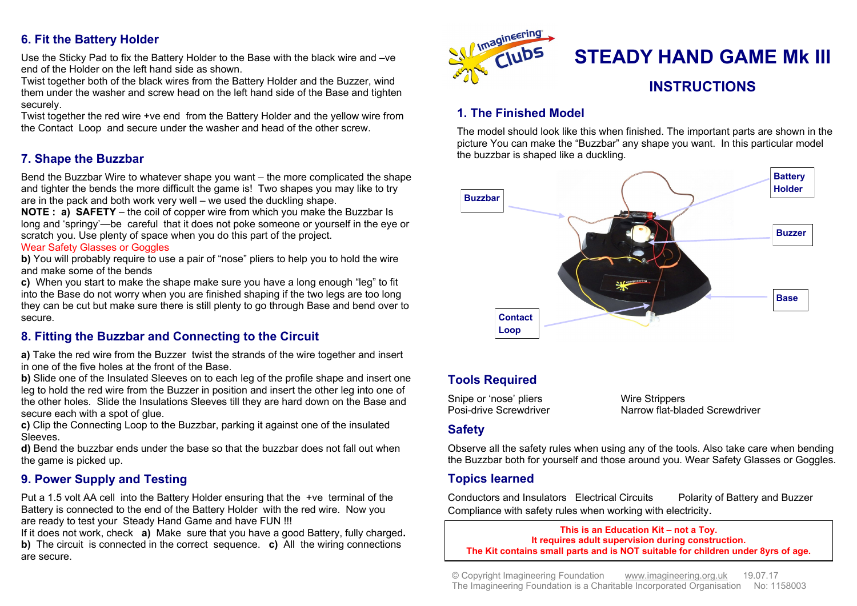## **6. Fit the Battery Holder**

Use the Sticky Pad to fix the Battery Holder to the Base with the black wire and –ve end of the Holder on the left hand side as shown.

Twist together both of the black wires from the Battery Holder and the Buzzer, wind them under the washer and screw head on the left hand side of the Base and tighten securely.

Twist together the red wire +ve end from the Battery Holder and the yellow wire from the Contact Loop and secure under the washer and head of the other screw.

# **7. Shape the Buzzbar**

Bend the Buzzbar Wire to whatever shape you want – the more complicated the shape and tighter the bends the more difficult the game is! Two shapes you may like to try are in the pack and both work very well – we used the duckling shape.

**NOTE : a) SAFETY** – the coil of copper wire from which you make the Buzzbar Is long and 'springy'—be careful that it does not poke someone or yourself in the eye or scratch you. Use plenty of space when you do this part of the project.

#### Wear Safety Glasses or Goggles

**b)** You will probably require to use a pair of "nose" pliers to help you to hold the wire and make some of the bends

**c)** When you start to make the shape make sure you have a long enough "leg" to fit into the Base do not worry when you are finished shaping if the two legs are too long they can be cut but make sure there is still plenty to go through Base and bend over to secure.

### **8. Fitting the Buzzbar and Connecting to the Circuit**

**a)** Take the red wire from the Buzzer twist the strands of the wire together and insert in one of the five holes at the front of the Base.

**b)** Slide one of the Insulated Sleeves on to each leg of the profile shape and insert one leg to hold the red wire from the Buzzer in position and insert the other leg into one of the other holes. Slide the Insulations Sleeves till they are hard down on the Base and secure each with a spot of glue.

**c)** Clip the Connecting Loop to the Buzzbar, parking it against one of the insulated Sleeves.

**d)** Bend the buzzbar ends under the base so that the buzzbar does not fall out when the game is picked up.

# **9. Power Supply and Testing**

Put a 1.5 volt AA cell into the Battery Holder ensuring that the +ve terminal of the Battery is connected to the end of the Battery Holder with the red wire. Now you are ready to test your Steady Hand Game and have FUN !!!

If it does not work, check **a)** Make sure that you have a good Battery, fully charged**. b)** The circuit is connected in the correct sequence. **c**) All the wiring connections are secure.



# **1. The Finished Model**

The model should look like this when finished. The important parts are shown in the picture You can make the "Buzzbar" any shape you want. In this particular model the buzzbar is shaped like a duckling.



# **Tools Required**

Snipe or 'nose' pliers **Wire Strippers**<br> **Posi-drive Screwdriver** Marrow flat-bla

Narrow flat-bladed Screwdriver

### **Safety**

Observe all the safety rules when using any of the tools. Also take care when bending the Buzzbar both for yourself and those around you. Wear Safety Glasses or Goggles.

### **Topics learned**

Conductors and Insulators Electrical Circuits Polarity of Battery and Buzzer Compliance with safety rules when working with electricity.

**This is an Education Kit – not a Toy. It requires adult supervision during construction. The Kit contains small parts and is NOT suitable for children under 8yrs of age.**

© Copyright Imagineering Foundation [www.imagineering.org.uk](http://www.imagineering.org.uk) 19.07.17 The Imagineering Foundation is a Charitable Incorporated Organisation No: 1158003